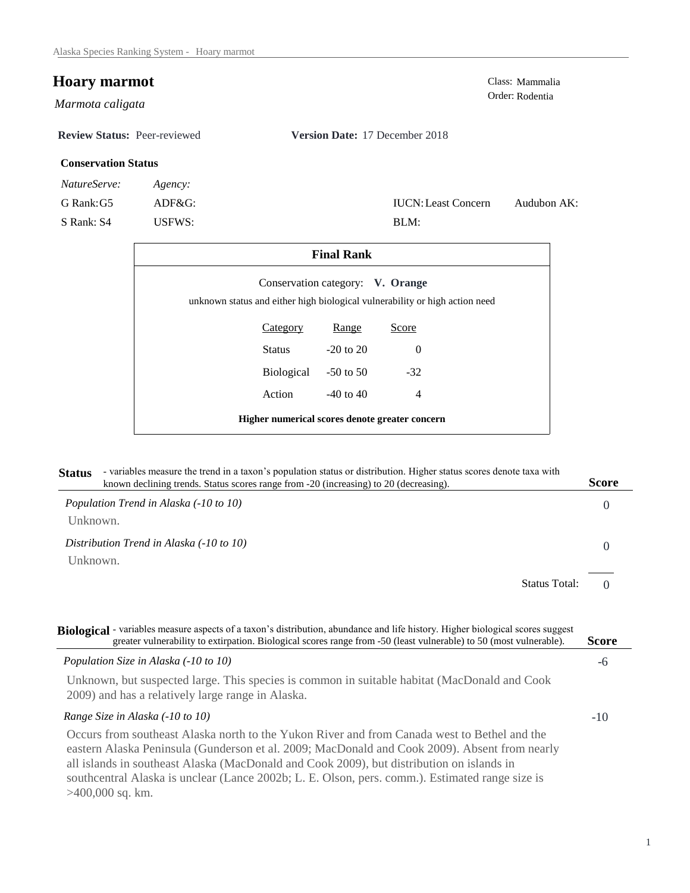## **Hoary marmot**<br>Class: Mammalia<br>Order: Rodentia

Order: Rodentia *Marmota caligata* 

**Review Status:** Peer-reviewed **Version Date:** 17 December 2018

## **Conservation Status**

| <i>NatureServe:</i> | Agency: |  |
|---------------------|---------|--|
| G Rank: G5          | ADF&G   |  |

S Rank: S4 USFWS:

| <b>IUCN:</b> Least Concern | Audubon AK: |  |
|----------------------------|-------------|--|
| BLM:                       |             |  |

| <b>Final Rank</b>                              |               |                                  |                                                                             |  |
|------------------------------------------------|---------------|----------------------------------|-----------------------------------------------------------------------------|--|
|                                                |               | Conservation category: V. Orange | unknown status and either high biological vulnerability or high action need |  |
|                                                | Category      | Range                            | Score                                                                       |  |
|                                                | <b>Status</b> | $-20$ to $20$                    | $\Omega$                                                                    |  |
|                                                | Biological    | $-50$ to 50                      | $-32$                                                                       |  |
|                                                | Action        | $-40$ to $40$                    | $\overline{4}$                                                              |  |
| Higher numerical scores denote greater concern |               |                                  |                                                                             |  |

| Status - variables measure the trend in a taxon's population status or distribution. Higher status scores denote taxa with | Score |
|----------------------------------------------------------------------------------------------------------------------------|-------|
| known declining trends. Status scores range from -20 (increasing) to 20 (decreasing).                                      |       |

| Population Trend in Alaska (-10 to 10)               |  |
|------------------------------------------------------|--|
| Unknown.                                             |  |
| Distribution Trend in Alaska (-10 to 10)<br>Unknown. |  |
| <b>Status Total:</b>                                 |  |

-6 -10 **Biological** - variables measure aspects of a taxon's distribution, abundance and life history. Higher biological scores suggest *Population Size in Alaska (-10 to 10)* Unknown, but suspected large. This species is common in suitable habitat (MacDonald and Cook 2009) and has a relatively large range in Alaska. *Range Size in Alaska (-10 to 10)* Occurs from southeast Alaska north to the Yukon River and from Canada west to Bethel and the eastern Alaska Peninsula (Gunderson et al. 2009; MacDonald and Cook 2009). Absent from nearly all islands in southeast Alaska (MacDonald and Cook 2009), but distribution on islands in southcentral Alaska is unclear (Lance 2002b; L. E. Olson, pers. comm.). Estimated range size is >400,000 sq. km. **Score** greater vulnerability to extirpation. Biological scores range from -50 (least vulnerable) to 50 (most vulnerable).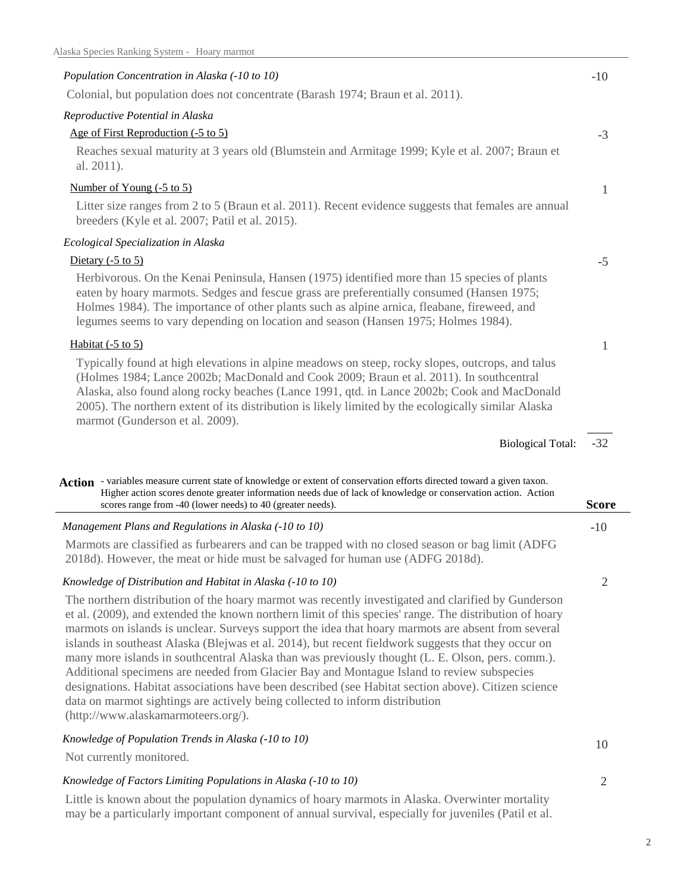| Population Concentration in Alaska (-10 to 10)                                                                                                                                                                                                                                                                                                                                                                                                                                                                                                                                                                                                                                                                                                                                                                                                           | $-10$          |
|----------------------------------------------------------------------------------------------------------------------------------------------------------------------------------------------------------------------------------------------------------------------------------------------------------------------------------------------------------------------------------------------------------------------------------------------------------------------------------------------------------------------------------------------------------------------------------------------------------------------------------------------------------------------------------------------------------------------------------------------------------------------------------------------------------------------------------------------------------|----------------|
| Colonial, but population does not concentrate (Barash 1974; Braun et al. 2011).                                                                                                                                                                                                                                                                                                                                                                                                                                                                                                                                                                                                                                                                                                                                                                          |                |
| Reproductive Potential in Alaska                                                                                                                                                                                                                                                                                                                                                                                                                                                                                                                                                                                                                                                                                                                                                                                                                         |                |
| Age of First Reproduction (-5 to 5)                                                                                                                                                                                                                                                                                                                                                                                                                                                                                                                                                                                                                                                                                                                                                                                                                      | $-3$           |
| Reaches sexual maturity at 3 years old (Blumstein and Armitage 1999; Kyle et al. 2007; Braun et<br>al. 2011).                                                                                                                                                                                                                                                                                                                                                                                                                                                                                                                                                                                                                                                                                                                                            |                |
| Number of Young (-5 to 5)                                                                                                                                                                                                                                                                                                                                                                                                                                                                                                                                                                                                                                                                                                                                                                                                                                | 1              |
| Litter size ranges from 2 to 5 (Braun et al. 2011). Recent evidence suggests that females are annual<br>breeders (Kyle et al. 2007; Patil et al. 2015).                                                                                                                                                                                                                                                                                                                                                                                                                                                                                                                                                                                                                                                                                                  |                |
| Ecological Specialization in Alaska                                                                                                                                                                                                                                                                                                                                                                                                                                                                                                                                                                                                                                                                                                                                                                                                                      |                |
| Dietary $(-5 \text{ to } 5)$                                                                                                                                                                                                                                                                                                                                                                                                                                                                                                                                                                                                                                                                                                                                                                                                                             | $-5$           |
| Herbivorous. On the Kenai Peninsula, Hansen (1975) identified more than 15 species of plants<br>eaten by hoary marmots. Sedges and fescue grass are preferentially consumed (Hansen 1975;<br>Holmes 1984). The importance of other plants such as alpine arnica, fleabane, fireweed, and<br>legumes seems to vary depending on location and season (Hansen 1975; Holmes 1984).                                                                                                                                                                                                                                                                                                                                                                                                                                                                           |                |
| Habitat $(-5 \text{ to } 5)$                                                                                                                                                                                                                                                                                                                                                                                                                                                                                                                                                                                                                                                                                                                                                                                                                             | 1              |
| Typically found at high elevations in alpine meadows on steep, rocky slopes, outcrops, and talus<br>(Holmes 1984; Lance 2002b; MacDonald and Cook 2009; Braun et al. 2011). In southcentral<br>Alaska, also found along rocky beaches (Lance 1991, qtd. in Lance 2002b; Cook and MacDonald<br>2005). The northern extent of its distribution is likely limited by the ecologically similar Alaska<br>marmot (Gunderson et al. 2009).                                                                                                                                                                                                                                                                                                                                                                                                                     |                |
|                                                                                                                                                                                                                                                                                                                                                                                                                                                                                                                                                                                                                                                                                                                                                                                                                                                          | $-32$          |
| <b>Biological Total:</b>                                                                                                                                                                                                                                                                                                                                                                                                                                                                                                                                                                                                                                                                                                                                                                                                                                 |                |
| Action - variables measure current state of knowledge or extent of conservation efforts directed toward a given taxon.                                                                                                                                                                                                                                                                                                                                                                                                                                                                                                                                                                                                                                                                                                                                   |                |
| Higher action scores denote greater information needs due of lack of knowledge or conservation action. Action<br>scores range from -40 (lower needs) to 40 (greater needs).                                                                                                                                                                                                                                                                                                                                                                                                                                                                                                                                                                                                                                                                              | <b>Score</b>   |
| Management Plans and Regulations in Alaska (-10 to 10)                                                                                                                                                                                                                                                                                                                                                                                                                                                                                                                                                                                                                                                                                                                                                                                                   | $-10$          |
| Marmots are classified as furbearers and can be trapped with no closed season or bag limit (ADFG<br>2018d). However, the meat or hide must be salvaged for human use (ADFG 2018d).                                                                                                                                                                                                                                                                                                                                                                                                                                                                                                                                                                                                                                                                       |                |
|                                                                                                                                                                                                                                                                                                                                                                                                                                                                                                                                                                                                                                                                                                                                                                                                                                                          |                |
| Knowledge of Distribution and Habitat in Alaska (-10 to 10)                                                                                                                                                                                                                                                                                                                                                                                                                                                                                                                                                                                                                                                                                                                                                                                              | 2              |
| The northern distribution of the hoary marmot was recently investigated and clarified by Gunderson<br>et al. (2009), and extended the known northern limit of this species' range. The distribution of hoary<br>marmots on islands is unclear. Surveys support the idea that hoary marmots are absent from several<br>islands in southeast Alaska (Blejwas et al. 2014), but recent fieldwork suggests that they occur on<br>many more islands in southcentral Alaska than was previously thought (L. E. Olson, pers. comm.).<br>Additional specimens are needed from Glacier Bay and Montague Island to review subspecies<br>designations. Habitat associations have been described (see Habitat section above). Citizen science<br>data on marmot sightings are actively being collected to inform distribution<br>(http://www.alaskamarmoteers.org/). |                |
| Knowledge of Population Trends in Alaska (-10 to 10)                                                                                                                                                                                                                                                                                                                                                                                                                                                                                                                                                                                                                                                                                                                                                                                                     |                |
| Not currently monitored.                                                                                                                                                                                                                                                                                                                                                                                                                                                                                                                                                                                                                                                                                                                                                                                                                                 | 10             |
| Knowledge of Factors Limiting Populations in Alaska (-10 to 10)                                                                                                                                                                                                                                                                                                                                                                                                                                                                                                                                                                                                                                                                                                                                                                                          | $\overline{2}$ |

Little is known about the population dynamics of hoary marmots in Alaska. Overwinter mortality may be a particularly important component of annual survival, especially for juveniles (Patil et al.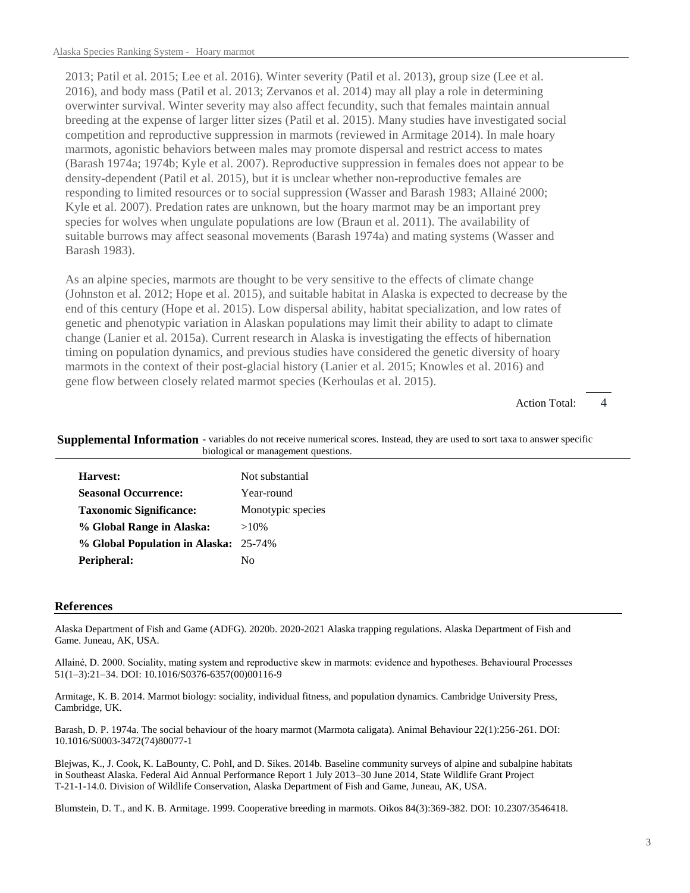2013; Patil et al. 2015; Lee et al. 2016). Winter severity (Patil et al. 2013), group size (Lee et al. 2016), and body mass (Patil et al. 2013; Zervanos et al. 2014) may all play a role in determining overwinter survival. Winter severity may also affect fecundity, such that females maintain annual breeding at the expense of larger litter sizes (Patil et al. 2015). Many studies have investigated social competition and reproductive suppression in marmots (reviewed in Armitage 2014). In male hoary marmots, agonistic behaviors between males may promote dispersal and restrict access to mates (Barash 1974a; 1974b; Kyle et al. 2007). Reproductive suppression in females does not appear to be density-dependent (Patil et al. 2015), but it is unclear whether non-reproductive females are responding to limited resources or to social suppression (Wasser and Barash 1983; Allainé 2000; Kyle et al. 2007). Predation rates are unknown, but the hoary marmot may be an important prey species for wolves when ungulate populations are low (Braun et al. 2011). The availability of suitable burrows may affect seasonal movements (Barash 1974a) and mating systems (Wasser and Barash 1983).

As an alpine species, marmots are thought to be very sensitive to the effects of climate change (Johnston et al. 2012; Hope et al. 2015), and suitable habitat in Alaska is expected to decrease by the end of this century (Hope et al. 2015). Low dispersal ability, habitat specialization, and low rates of genetic and phenotypic variation in Alaskan populations may limit their ability to adapt to climate change (Lanier et al. 2015a). Current research in Alaska is investigating the effects of hibernation timing on population dynamics, and previous studies have considered the genetic diversity of hoary marmots in the context of their post-glacial history (Lanier et al. 2015; Knowles et al. 2016) and gene flow between closely related marmot species (Kerhoulas et al. 2015).

> 4 Action Total:

| biological or management questions.   |                   |  |
|---------------------------------------|-------------------|--|
| Harvest:                              | Not substantial   |  |
| <b>Seasonal Occurrence:</b>           | Year-round        |  |
| <b>Taxonomic Significance:</b>        | Monotypic species |  |
| % Global Range in Alaska:             | $>10\%$           |  |
| % Global Population in Alaska: 25-74% |                   |  |
|                                       |                   |  |

Supplemental Information - variables do not receive numerical scores. Instead, they are used to sort taxa to answer specific

## **References**

**Peripheral:** No

Alaska Department of Fish and Game (ADFG). 2020b. 2020-2021 Alaska trapping regulations. Alaska Department of Fish and Game. Juneau, AK, USA.

Allainé, D. 2000. Sociality, mating system and reproductive skew in marmots: evidence and hypotheses. Behavioural Processes 51(1–3):21–34. DOI: 10.1016/S0376-6357(00)00116-9

Armitage, K. B. 2014. Marmot biology: sociality, individual fitness, and population dynamics. Cambridge University Press, Cambridge, UK.

Barash, D. P. 1974a. The social behaviour of the hoary marmot (Marmota caligata). Animal Behaviour 22(1):256-261. DOI: 10.1016/S0003-3472(74)80077-1

Blejwas, K., J. Cook, K. LaBounty, C. Pohl, and D. Sikes. 2014b. Baseline community surveys of alpine and subalpine habitats in Southeast Alaska. Federal Aid Annual Performance Report 1 July 2013–30 June 2014, State Wildlife Grant Project T-21-1-14.0. Division of Wildlife Conservation, Alaska Department of Fish and Game, Juneau, AK, USA.

Blumstein, D. T., and K. B. Armitage. 1999. Cooperative breeding in marmots. Oikos 84(3):369-382. DOI: 10.2307/3546418.